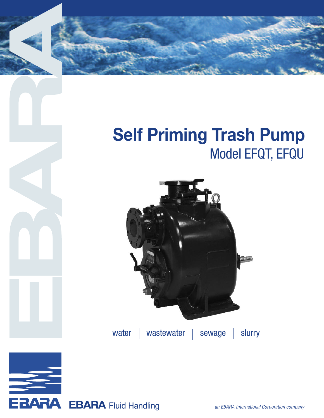